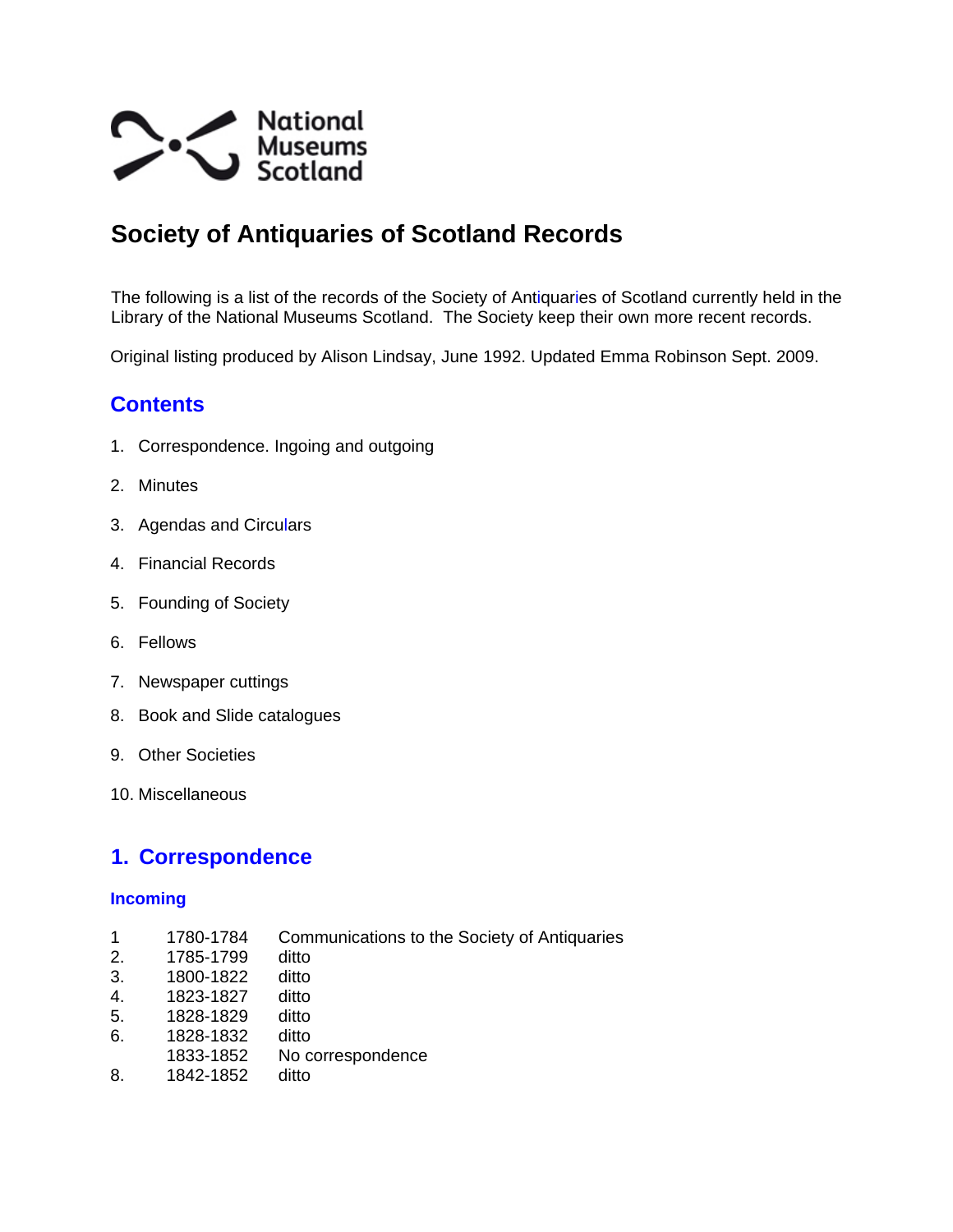

# **Society of Antiquaries of Scotland Records**

The following is a list of the records of the Society of Antiquaries of Scotland currently held in the Library of the National Museums Scotland. The Society keep their own more recent records.

Original listing produced by Alison Lindsay, June 1992. Updated Emma Robinson Sept. 2009.

# **Contents**

- 1. Correspondence. Ingoing and outgoing
- 2. Minutes
- 3. Agendas and Circulars
- 4. Financial Records
- 5. Founding of Society
- 6. Fellows
- 7. Newspaper cuttings
- 8. Book and Slide catalogues
- 9. Other Societies
- 10. Miscellaneous

## **1. Correspondence**

#### **Incoming**

- 1 1780-1784 Communications to the Society of Antiquaries
- 2. 1785-1799 ditto
- 3. 1800-1822 ditto
- 4. 1823-1827 ditto
- 5. 1828-1829 ditto
- 6. 1828-1832 ditto
- 1833-1852 No correspondence
- 8. 1842-1852 ditto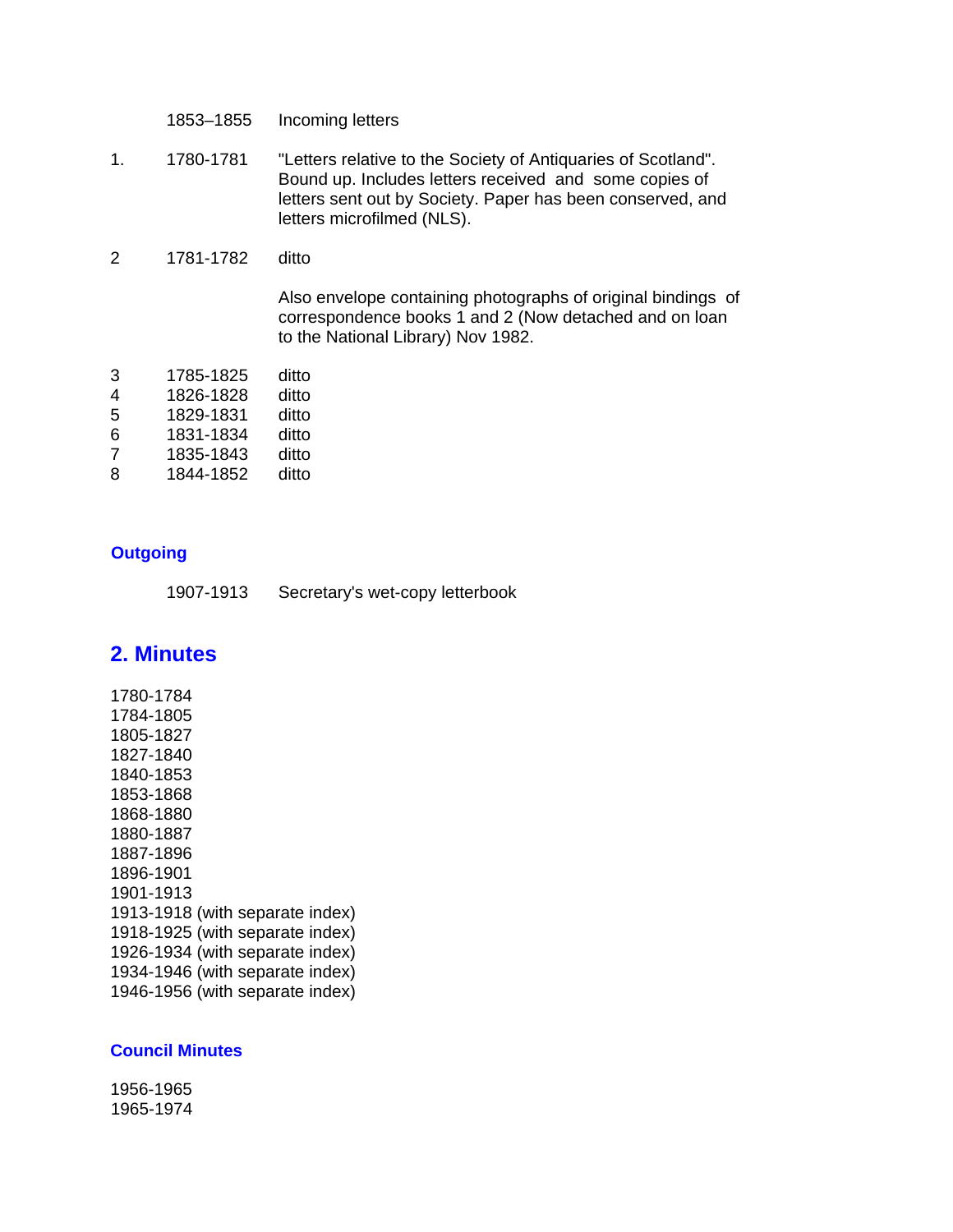1853–1855 Incoming letters

- 1. 1780-1781 "Letters relative to the Society of Antiquaries of Scotland". Bound up. Includes letters received and some copies of letters sent out by Society. Paper has been conserved, and letters microfilmed (NLS).
- 2 1781-1782 ditto

Also envelope containing photographs of original bindings of correspondence books 1 and 2 (Now detached and on loan to the National Library) Nov 1982.

| 1785-1825 | ditto |
|-----------|-------|
| 1826-1828 | ditto |
| 1829-1831 | ditto |
| 1831-1834 | ditto |
| 1835-1843 | ditto |
| 1844-1852 | ditto |
|           |       |

#### **Outgoing**

| 1907-1913 | Secretary's wet-copy letterbook |  |
|-----------|---------------------------------|--|
|           |                                 |  |

### **2. Minutes**

1780-1784 1784-1805 1805-1827 1827-1840 1840-1853 1853-1868 1868-1880 1880-1887 1887-1896 1896-1901 1901-1913 1913-1918 (with separate index) 1918-1925 (with separate index) 1926-1934 (with separate index) 1934-1946 (with separate index) 1946-1956 (with separate index)

#### **Council Minutes**

1956-1965 1965-1974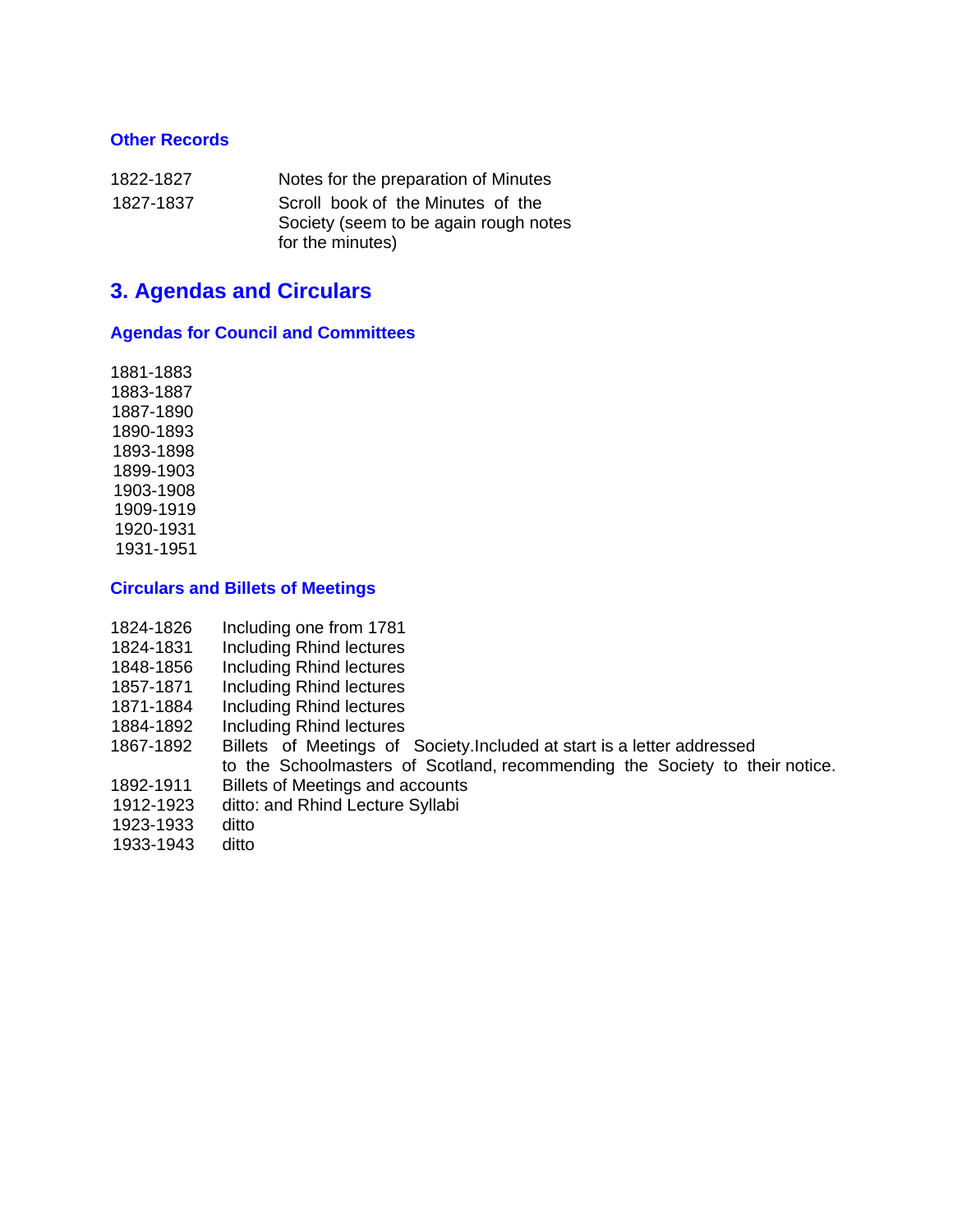#### **Other Records**

| 1822-1827 | Notes for the preparation of Minutes  |
|-----------|---------------------------------------|
| 1827-1837 | Scroll book of the Minutes of the     |
|           | Society (seem to be again rough notes |
|           | for the minutes)                      |

## **3. Agendas and Circulars**

#### **Agendas for Council and Committees**

1881-1883 1883-1887 1887-1890 1890-1893 1893-1898 1899-1903 1903-1908 1909-1919 1920-1931 1931-1951

#### **Circulars and Billets of Meetings**

- 1824-1826 Including one from 1781
- 1824-1831 Including Rhind lectures
- 1848-1856 Including Rhind lectures
- 1857-1871 Including Rhind lectures
- 1871-1884 Including Rhind lectures
- 1884-1892 Including Rhind lectures
- 1867-1892 Billets of Meetings of Society.Included at start is a letter addressed to the Schoolmasters of Scotland, recommending the Society to their notice.
- 1892-1911 Billets of Meetings and accounts
- 1912-1923 ditto: and Rhind Lecture Syllabi
- 1923-1933 ditto
- 
- 1933-1943 ditto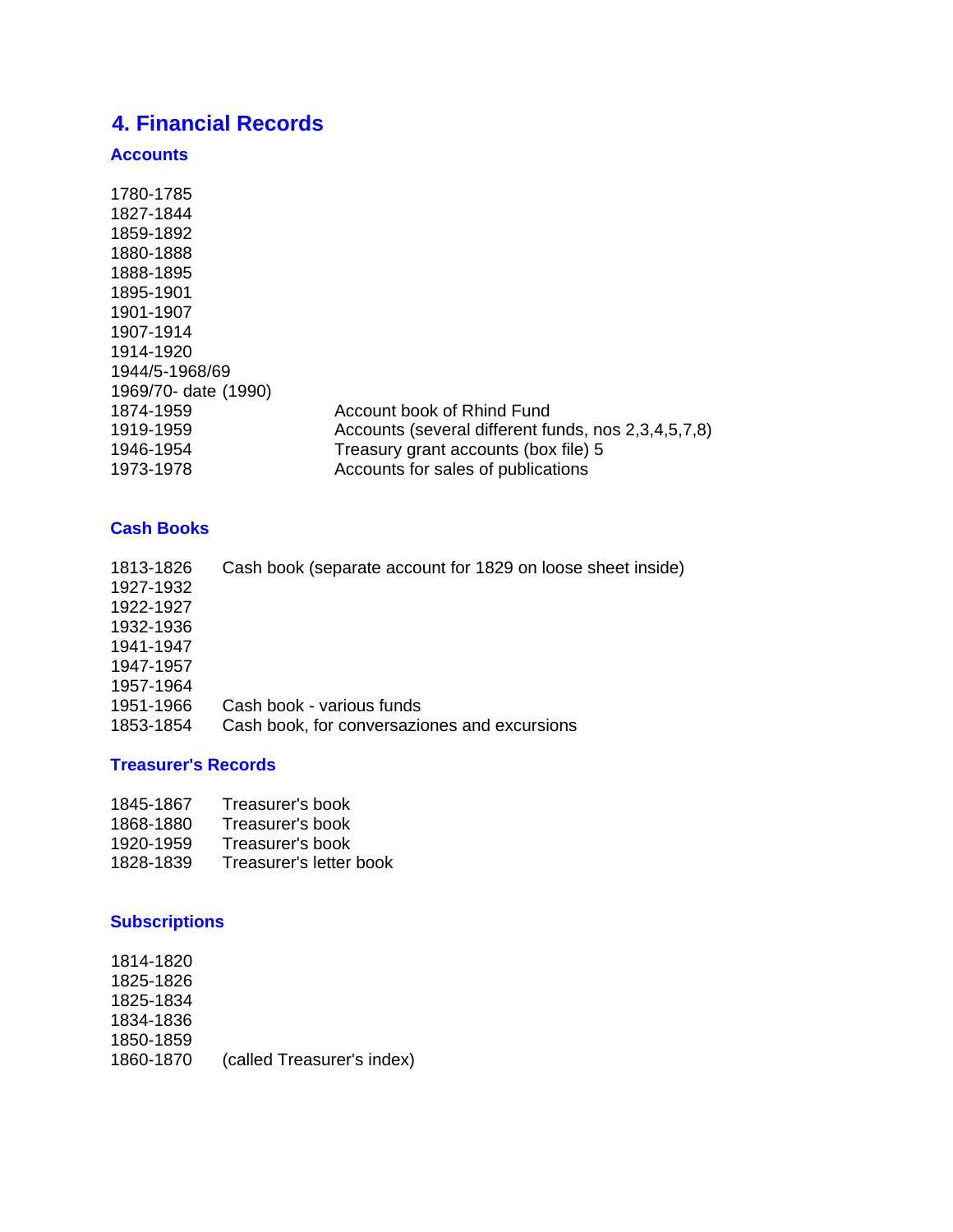# **4. Financial Records**

### **Accounts**

| Account book of Rhind Fund                          |
|-----------------------------------------------------|
| Accounts (several different funds, nos 2,3,4,5,7,8) |
| Treasury grant accounts (box file) 5                |
| Accounts for sales of publications                  |
|                                                     |

#### **Cash Books**

| 1813-1826 | Cash book (separate account for 1829 on loose sheet inside) |
|-----------|-------------------------------------------------------------|
| 1927-1932 |                                                             |
| 1922-1927 |                                                             |
| 1932-1936 |                                                             |
| 1941-1947 |                                                             |
| 1947-1957 |                                                             |
| 1957-1964 |                                                             |
| 1951-1966 | Cash book - various funds                                   |
| 1853-1854 | Cash book, for conversaziones and excursions                |

#### **Treasurer's Records**

| 1845-1867 | Treasurer's book |
|-----------|------------------|
|           |                  |

- 1868-1880 Treasurer's book
- 1920-1959 Treasurer's book
- 1828-1839 Treasurer's letter book

### **Subscriptions**

1814-1820 1825-1826 1825-1834 1834-1836 1850-1859 1860-1870 (called Treasurer's index)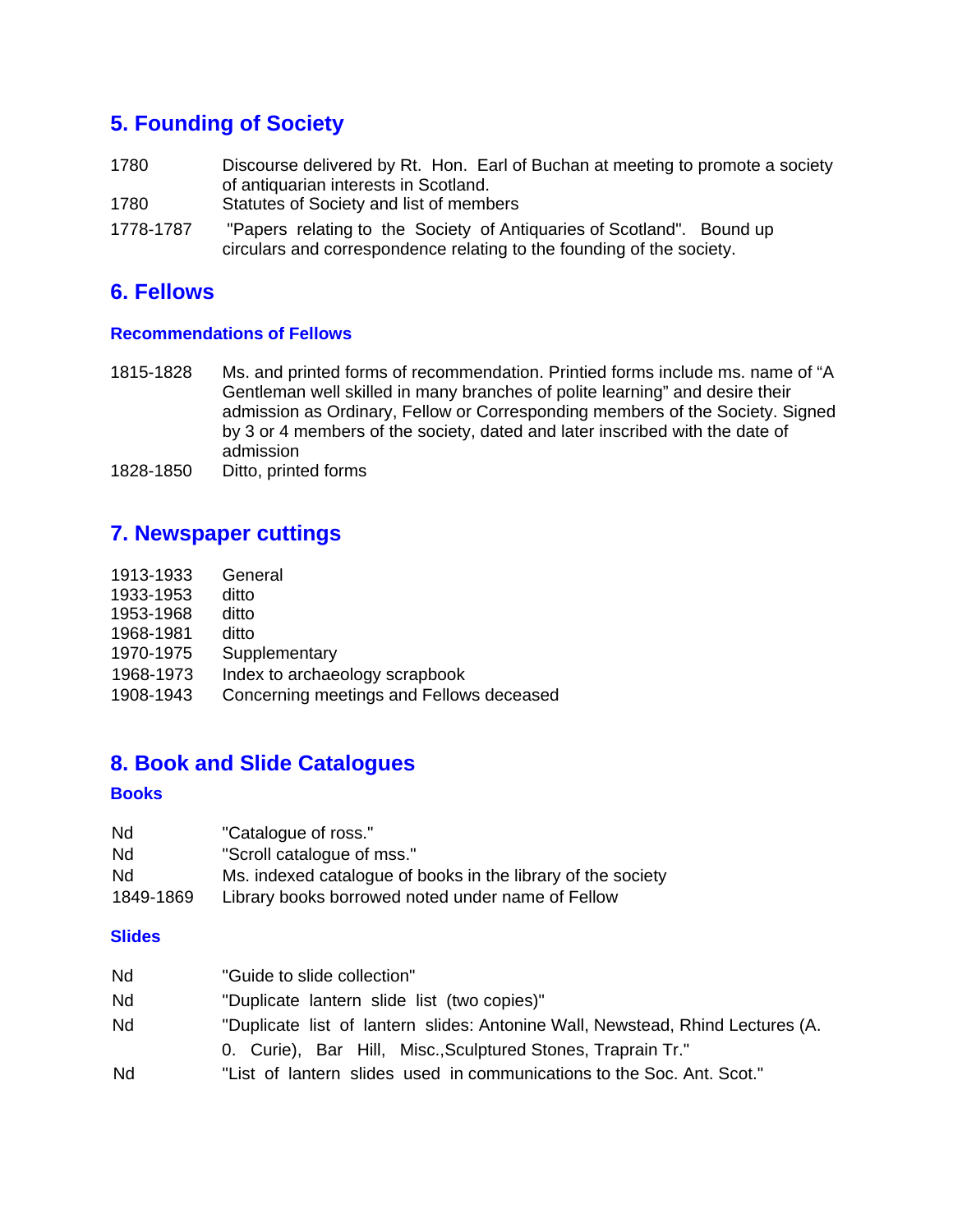# **5. Founding of Society**

- 1780 Discourse delivered by Rt. Hon. Earl of Buchan at meeting to promote a society of antiquarian interests in Scotland.
- 1780 Statutes of Society and list of members
- 1778-1787 "Papers relating to the Society of Antiquaries of Scotland". Bound up circulars and correspondence relating to the founding of the society.

## **6. Fellows**

#### **Recommendations of Fellows**

- 1815-1828 Ms. and printed forms of recommendation. Printied forms include ms. name of "A Gentleman well skilled in many branches of polite learning" and desire their admission as Ordinary, Fellow or Corresponding members of the Society. Signed by 3 or 4 members of the society, dated and later inscribed with the date of admission
- 1828-1850 Ditto, printed forms

# **7. Newspaper cuttings**

| 1913-1933 | General                                  |
|-----------|------------------------------------------|
| 1933-1953 | ditto                                    |
| 1953-1968 | ditto                                    |
| 1968-1981 | ditto                                    |
| 1970-1975 | Supplementary                            |
| 1968-1973 | Index to archaeology scrapbook           |
| 1908-1943 | Concerning meetings and Fellows deceased |

# **8. Book and Slide Catalogues**

#### **Books**

| Nd        | "Catalogue of ross."                                         |
|-----------|--------------------------------------------------------------|
| Nd.       | "Scroll catalogue of mss."                                   |
| Nd        | Ms. indexed catalogue of books in the library of the society |
| 1849-1869 | Library books borrowed noted under name of Fellow            |

#### **Slides**

| Nd | "Guide to slide collection"                                                    |
|----|--------------------------------------------------------------------------------|
| Nd | "Duplicate lantern slide list (two copies)"                                    |
| Nd | "Duplicate list of lantern slides: Antonine Wall, Newstead, Rhind Lectures (A. |
|    | 0. Curie), Bar Hill, Misc., Sculptured Stones, Traprain Tr."                   |
| Nd | "List of lantern slides used in communications to the Soc. Ant. Scot."         |